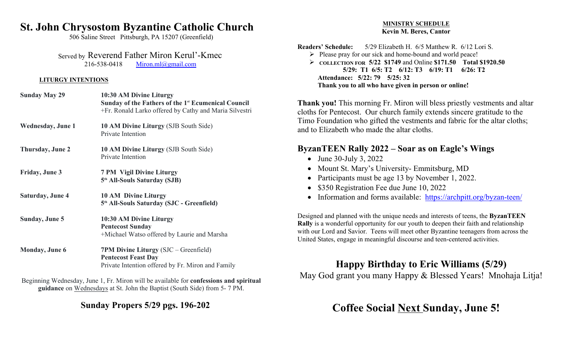## **St. John Chrysostom Byzantine Catholic Church**

506 Saline Street Pittsburgh, PA 15207 (Greenfield)

 Served by Reverend Father Miron Kerul'-Kmec 216-538-0418 Miron.ml@gmail.com

#### **LITURGY INTENTIONS**

| <b>Sunday May 29</b>      | 10:30 AM Divine Liturgy<br>Sunday of the Fathers of the 1 <sup>st</sup> Ecumenical Council<br>+Fr. Ronald Larko offered by Cathy and Maria Silvestri | ۳ |
|---------------------------|------------------------------------------------------------------------------------------------------------------------------------------------------|---|
| <b>Wednesday</b> , June 1 | 10 AM Divine Liturgy (SJB South Side)<br>Private Intention                                                                                           |   |
| <b>Thursday, June 2</b>   | 10 AM Divine Liturgy (SJB South Side)<br>Private Intention                                                                                           |   |
| Friday, June 3            | <b>7 PM Vigil Divine Liturgy</b><br>5 <sup>th</sup> All-Souls Saturday (SJB)                                                                         |   |
| <b>Saturday, June 4</b>   | <b>10 AM Divine Liturgy</b><br>5 <sup>th</sup> All-Souls Saturday (SJC - Greenfield)                                                                 |   |
| Sunday, June 5            | 10:30 AM Divine Liturgy<br><b>Pentecost Sunday</b><br>+Michael Watso offered by Laurie and Marsha                                                    |   |
| <b>Monday</b> , June 6    | 7PM Divine Liturgy (SJC - Greenfield)<br><b>Pentecost Feast Day</b><br>Private Intention offered by Fr. Miron and Family                             |   |

Beginning Wednesday, June 1, Fr. Miron will be available for **confessions and spiritual guidance** on Wednesdays at St. John the Baptist (South Side) from 5- 7 PM.

**Sunday Propers 5/29 pgs. 196-202**

#### **MINISTRY SCHEDULE Kevin M. Beres, Cantor**

**Readers' Schedule:** 5/29 Elizabeth H. 6/5 Matthew R. 6/12 Lori S.

 $\triangleright$  Please pray for our sick and home-bound and world peace!

 **COLLECTION FOR 5/22 \$1749** and Online **\$171.50 Total \$1920.50 5/29: T1 6/5: T2 6/12: T3 6/19: T1 6/26: T2 Attendance: 5/22: 79 5/25: 32 Thank you to all who have given in person or online!**

**Thank you!** This morning Fr. Miron will bless priestly vestments and altar cloths for Pentecost. Our church family extends sincere gratitude to the Timo Foundation who gifted the vestments and fabric for the altar cloths; and to Elizabeth who made the altar cloths.

### **ByzanTEEN Rally 2022 – Soar as on Eagle's Wings**

- June 30-July 3, 2022
- Mount St. Mary's University- Emmitsburg, MD
- Participants must be age 13 by November 1, 2022.
- \$350 Registration Fee due June 10, 2022
- Information and forms available: https://archpitt.org/byzan-teen/

Designed and planned with the unique needs and interests of teens, the **ByzanTEEN Rally** is a wonderful opportunity for our youth to deepen their faith and relationship with our Lord and Savior. Teens will meet other Byzantine teenagers from across the United States, engage in meaningful discourse and teen-centered activities.

## **Happy Birthday to Eric Williams (5/29)**

May God grant you many Happy & Blessed Years! Mnohaja Litja!

# **Coffee Social Next Sunday, June 5!**